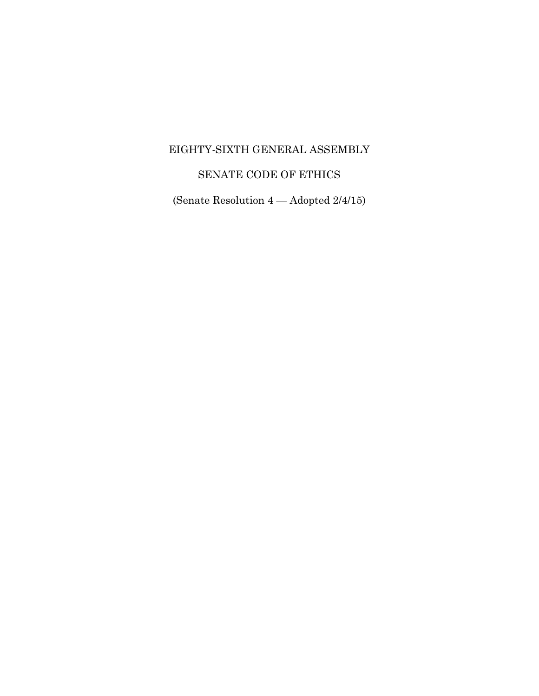## EIGHTY-SIXTH GENERAL ASSEMBLY

# SENATE CODE OF ETHICS

(Senate Resolution 4 — Adopted 2/4/15)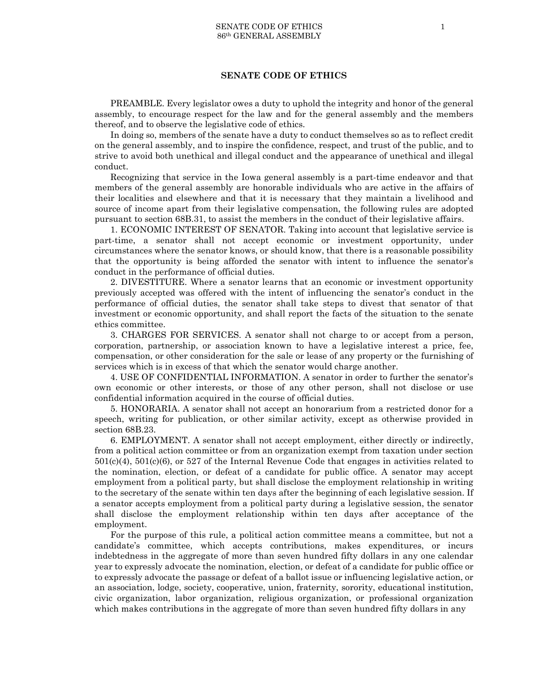### **SENATE CODE OF ETHICS**

PREAMBLE. Every legislator owes a duty to uphold the integrity and honor of the general assembly, to encourage respect for the law and for the general assembly and the members thereof, and to observe the legislative code of ethics.

In doing so, members of the senate have a duty to conduct themselves so as to reflect credit on the general assembly, and to inspire the confidence, respect, and trust of the public, and to strive to avoid both unethical and illegal conduct and the appearance of unethical and illegal conduct.

Recognizing that service in the Iowa general assembly is a part-time endeavor and that members of the general assembly are honorable individuals who are active in the affairs of their localities and elsewhere and that it is necessary that they maintain a livelihood and source of income apart from their legislative compensation, the following rules are adopted pursuant to section 68B.31, to assist the members in the conduct of their legislative affairs.

1. ECONOMIC INTEREST OF SENATOR. Taking into account that legislative service is part-time, a senator shall not accept economic or investment opportunity, under circumstances where the senator knows, or should know, that there is a reasonable possibility that the opportunity is being afforded the senator with intent to influence the senator's conduct in the performance of official duties.

2. DIVESTITURE. Where a senator learns that an economic or investment opportunity previously accepted was offered with the intent of influencing the senator's conduct in the performance of official duties, the senator shall take steps to divest that senator of that investment or economic opportunity, and shall report the facts of the situation to the senate ethics committee.

3. CHARGES FOR SERVICES. A senator shall not charge to or accept from a person, corporation, partnership, or association known to have a legislative interest a price, fee, compensation, or other consideration for the sale or lease of any property or the furnishing of services which is in excess of that which the senator would charge another.

4. USE OF CONFIDENTIAL INFORMATION. A senator in order to further the senator's own economic or other interests, or those of any other person, shall not disclose or use confidential information acquired in the course of official duties.

5. HONORARIA. A senator shall not accept an honorarium from a restricted donor for a speech, writing for publication, or other similar activity, except as otherwise provided in section 68B.23.

6. EMPLOYMENT. A senator shall not accept employment, either directly or indirectly, from a political action committee or from an organization exempt from taxation under section 501(c)(4), 501(c)(6), or 527 of the Internal Revenue Code that engages in activities related to the nomination, election, or defeat of a candidate for public office. A senator may accept employment from a political party, but shall disclose the employment relationship in writing to the secretary of the senate within ten days after the beginning of each legislative session. If a senator accepts employment from a political party during a legislative session, the senator shall disclose the employment relationship within ten days after acceptance of the employment.

For the purpose of this rule, a political action committee means a committee, but not a candidate's committee, which accepts contributions, makes expenditures, or incurs indebtedness in the aggregate of more than seven hundred fifty dollars in any one calendar year to expressly advocate the nomination, election, or defeat of a candidate for public office or to expressly advocate the passage or defeat of a ballot issue or influencing legislative action, or an association, lodge, society, cooperative, union, fraternity, sorority, educational institution, civic organization, labor organization, religious organization, or professional organization which makes contributions in the aggregate of more than seven hundred fifty dollars in any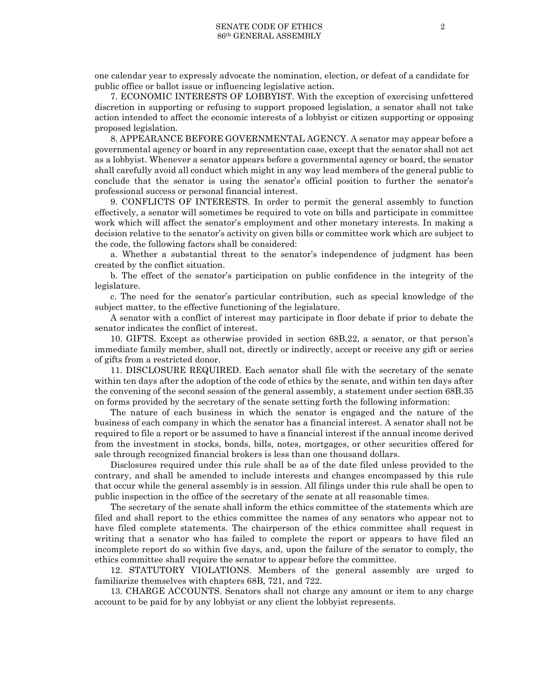one calendar year to expressly advocate the nomination, election, or defeat of a candidate for public office or ballot issue or influencing legislative action.

7. ECONOMIC INTERESTS OF LOBBYIST. With the exception of exercising unfettered discretion in supporting or refusing to support proposed legislation, a senator shall not take action intended to affect the economic interests of a lobbyist or citizen supporting or opposing proposed legislation.

8. APPEARANCE BEFORE GOVERNMENTAL AGENCY. A senator may appear before a governmental agency or board in any representation case, except that the senator shall not act as a lobbyist. Whenever a senator appears before a governmental agency or board, the senator shall carefully avoid all conduct which might in any way lead members of the general public to conclude that the senator is using the senator's official position to further the senator's professional success or personal financial interest.

9. CONFLICTS OF INTERESTS. In order to permit the general assembly to function effectively, a senator will sometimes be required to vote on bills and participate in committee work which will affect the senator's employment and other monetary interests. In making a decision relative to the senator's activity on given bills or committee work which are subject to the code, the following factors shall be considered:

a. Whether a substantial threat to the senator's independence of judgment has been created by the conflict situation.

b. The effect of the senator's participation on public confidence in the integrity of the legislature.

c. The need for the senator's particular contribution, such as special knowledge of the subject matter, to the effective functioning of the legislature.

A senator with a conflict of interest may participate in floor debate if prior to debate the senator indicates the conflict of interest.

10. GIFTS. Except as otherwise provided in section 68B.22, a senator, or that person's immediate family member, shall not, directly or indirectly, accept or receive any gift or series of gifts from a restricted donor.

11. DISCLOSURE REQUIRED. Each senator shall file with the secretary of the senate within ten days after the adoption of the code of ethics by the senate, and within ten days after the convening of the second session of the general assembly, a statement under section 68B.35 on forms provided by the secretary of the senate setting forth the following information:

The nature of each business in which the senator is engaged and the nature of the business of each company in which the senator has a financial interest. A senator shall not be required to file a report or be assumed to have a financial interest if the annual income derived from the investment in stocks, bonds, bills, notes, mortgages, or other securities offered for sale through recognized financial brokers is less than one thousand dollars.

Disclosures required under this rule shall be as of the date filed unless provided to the contrary, and shall be amended to include interests and changes encompassed by this rule that occur while the general assembly is in session. All filings under this rule shall be open to public inspection in the office of the secretary of the senate at all reasonable times.

The secretary of the senate shall inform the ethics committee of the statements which are filed and shall report to the ethics committee the names of any senators who appear not to have filed complete statements. The chairperson of the ethics committee shall request in writing that a senator who has failed to complete the report or appears to have filed an incomplete report do so within five days, and, upon the failure of the senator to comply, the ethics committee shall require the senator to appear before the committee.

12. STATUTORY VIOLATIONS. Members of the general assembly are urged to familiarize themselves with chapters 68B, 721, and 722.

13. CHARGE ACCOUNTS. Senators shall not charge any amount or item to any charge account to be paid for by any lobbyist or any client the lobbyist represents.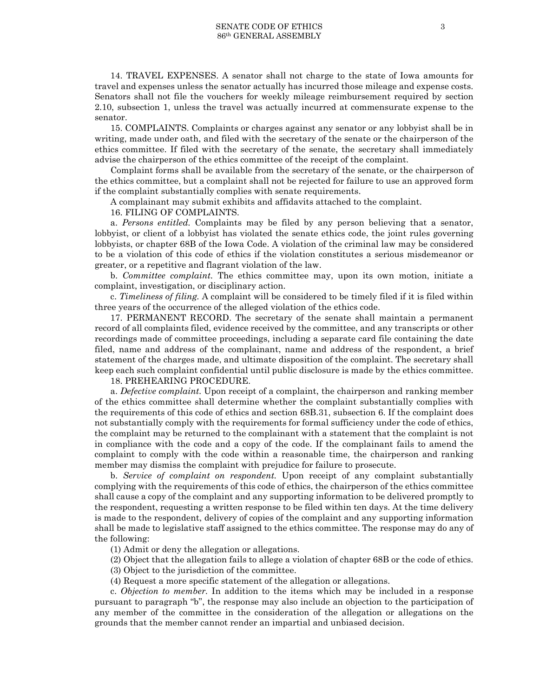14. TRAVEL EXPENSES. A senator shall not charge to the state of Iowa amounts for travel and expenses unless the senator actually has incurred those mileage and expense costs. Senators shall not file the vouchers for weekly mileage reimbursement required by section 2.10, subsection 1, unless the travel was actually incurred at commensurate expense to the senator.

15. COMPLAINTS. Complaints or charges against any senator or any lobbyist shall be in writing, made under oath, and filed with the secretary of the senate or the chairperson of the ethics committee. If filed with the secretary of the senate, the secretary shall immediately advise the chairperson of the ethics committee of the receipt of the complaint.

Complaint forms shall be available from the secretary of the senate, or the chairperson of the ethics committee, but a complaint shall not be rejected for failure to use an approved form if the complaint substantially complies with senate requirements.

A complainant may submit exhibits and affidavits attached to the complaint.

#### 16. FILING OF COMPLAINTS.

a. *Persons entitled.* Complaints may be filed by any person believing that a senator, lobbyist, or client of a lobbyist has violated the senate ethics code, the joint rules governing lobbyists, or chapter 68B of the Iowa Code. A violation of the criminal law may be considered to be a violation of this code of ethics if the violation constitutes a serious misdemeanor or greater, or a repetitive and flagrant violation of the law.

b. *Committee complaint.* The ethics committee may, upon its own motion, initiate a complaint, investigation, or disciplinary action.

c. *Timeliness of filing.* A complaint will be considered to be timely filed if it is filed within three years of the occurrence of the alleged violation of the ethics code.

17. PERMANENT RECORD. The secretary of the senate shall maintain a permanent record of all complaints filed, evidence received by the committee, and any transcripts or other recordings made of committee proceedings, including a separate card file containing the date filed, name and address of the complainant, name and address of the respondent, a brief statement of the charges made, and ultimate disposition of the complaint. The secretary shall keep each such complaint confidential until public disclosure is made by the ethics committee.

### 18. PREHEARING PROCEDURE.

a. *Defective complaint.* Upon receipt of a complaint, the chairperson and ranking member of the ethics committee shall determine whether the complaint substantially complies with the requirements of this code of ethics and section 68B.31, subsection 6. If the complaint does not substantially comply with the requirements for formal sufficiency under the code of ethics, the complaint may be returned to the complainant with a statement that the complaint is not in compliance with the code and a copy of the code. If the complainant fails to amend the complaint to comply with the code within a reasonable time, the chairperson and ranking member may dismiss the complaint with prejudice for failure to prosecute.

b. *Service of complaint on respondent.* Upon receipt of any complaint substantially complying with the requirements of this code of ethics, the chairperson of the ethics committee shall cause a copy of the complaint and any supporting information to be delivered promptly to the respondent, requesting a written response to be filed within ten days. At the time delivery is made to the respondent, delivery of copies of the complaint and any supporting information shall be made to legislative staff assigned to the ethics committee. The response may do any of the following:

(1) Admit or deny the allegation or allegations.

(2) Object that the allegation fails to allege a violation of chapter 68B or the code of ethics.

(3) Object to the jurisdiction of the committee.

(4) Request a more specific statement of the allegation or allegations.

c. *Objection to member.* In addition to the items which may be included in a response pursuant to paragraph "b", the response may also include an objection to the participation of any member of the committee in the consideration of the allegation or allegations on the grounds that the member cannot render an impartial and unbiased decision.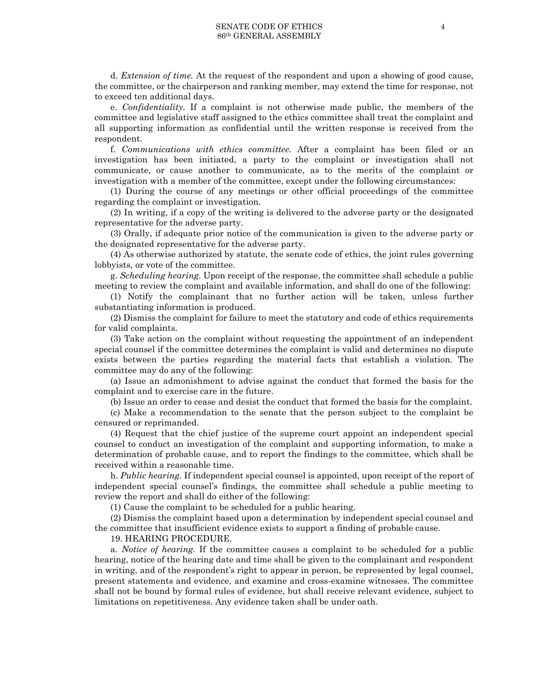d. *Extension of time.* At the request of the respondent and upon a showing of good cause, the committee, or the chairperson and ranking member, may extend the time for response, not to exceed ten additional days.

e. *Confidentiality.* If a complaint is not otherwise made public, the members of the committee and legislative staff assigned to the ethics committee shall treat the complaint and all supporting information as confidential until the written response is received from the respondent.

f. *Communications with ethics committee.* After a complaint has been filed or an investigation has been initiated, a party to the complaint or investigation shall not communicate, or cause another to communicate, as to the merits of the complaint or investigation with a member of the committee, except under the following circumstances:

(1) During the course of any meetings or other official proceedings of the committee regarding the complaint or investigation.

(2) In writing, if a copy of the writing is delivered to the adverse party or the designated representative for the adverse party.

(3) Orally, if adequate prior notice of the communication is given to the adverse party or the designated representative for the adverse party.

(4) As otherwise authorized by statute, the senate code of ethics, the joint rules governing lobbyists, or vote of the committee.

g. *Scheduling hearing.* Upon receipt of the response, the committee shall schedule a public meeting to review the complaint and available information, and shall do one of the following:

(1) Notify the complainant that no further action will be taken, unless further substantiating information is produced.

(2) Dismiss the complaint for failure to meet the statutory and code of ethics requirements for valid complaints.

(3) Take action on the complaint without requesting the appointment of an independent special counsel if the committee determines the complaint is valid and determines no dispute exists between the parties regarding the material facts that establish a violation. The committee may do any of the following:

(a) Issue an admonishment to advise against the conduct that formed the basis for the complaint and to exercise care in the future.

(b) Issue an order to cease and desist the conduct that formed the basis for the complaint.

(c) Make a recommendation to the senate that the person subject to the complaint be censured or reprimanded.

(4) Request that the chief justice of the supreme court appoint an independent special counsel to conduct an investigation of the complaint and supporting information, to make a determination of probable cause, and to report the findings to the committee, which shall be received within a reasonable time.

h. *Public hearing.* If independent special counsel is appointed, upon receipt of the report of independent special counsel's findings, the committee shall schedule a public meeting to review the report and shall do either of the following:

(1) Cause the complaint to be scheduled for a public hearing.

(2) Dismiss the complaint based upon a determination by independent special counsel and the committee that insufficient evidence exists to support a finding of probable cause.

19. HEARING PROCEDURE.

a. *Notice of hearing.* If the committee causes a complaint to be scheduled for a public hearing, notice of the hearing date and time shall be given to the complainant and respondent in writing, and of the respondent's right to appear in person, be represented by legal counsel, present statements and evidence, and examine and cross-examine witnesses. The committee shall not be bound by formal rules of evidence, but shall receive relevant evidence, subject to limitations on repetitiveness. Any evidence taken shall be under oath.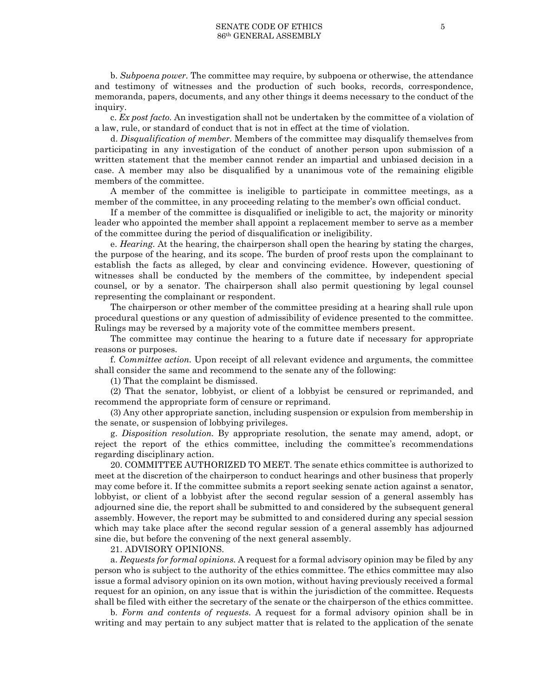b. *Subpoena power.* The committee may require, by subpoena or otherwise, the attendance and testimony of witnesses and the production of such books, records, correspondence, memoranda, papers, documents, and any other things it deems necessary to the conduct of the inquiry.

c. *Ex post facto.* An investigation shall not be undertaken by the committee of a violation of a law, rule, or standard of conduct that is not in effect at the time of violation.

d. *Disqualification of member.* Members of the committee may disqualify themselves from participating in any investigation of the conduct of another person upon submission of a written statement that the member cannot render an impartial and unbiased decision in a case. A member may also be disqualified by a unanimous vote of the remaining eligible members of the committee.

A member of the committee is ineligible to participate in committee meetings, as a member of the committee, in any proceeding relating to the member's own official conduct.

If a member of the committee is disqualified or ineligible to act, the majority or minority leader who appointed the member shall appoint a replacement member to serve as a member of the committee during the period of disqualification or ineligibility.

e. *Hearing.* At the hearing, the chairperson shall open the hearing by stating the charges, the purpose of the hearing, and its scope. The burden of proof rests upon the complainant to establish the facts as alleged, by clear and convincing evidence. However, questioning of witnesses shall be conducted by the members of the committee, by independent special counsel, or by a senator. The chairperson shall also permit questioning by legal counsel representing the complainant or respondent.

The chairperson or other member of the committee presiding at a hearing shall rule upon procedural questions or any question of admissibility of evidence presented to the committee. Rulings may be reversed by a majority vote of the committee members present.

The committee may continue the hearing to a future date if necessary for appropriate reasons or purposes.

f. *Committee action.* Upon receipt of all relevant evidence and arguments, the committee shall consider the same and recommend to the senate any of the following:

(1) That the complaint be dismissed.

(2) That the senator, lobbyist, or client of a lobbyist be censured or reprimanded, and recommend the appropriate form of censure or reprimand.

(3) Any other appropriate sanction, including suspension or expulsion from membership in the senate, or suspension of lobbying privileges.

g. *Disposition resolution.* By appropriate resolution, the senate may amend, adopt, or reject the report of the ethics committee, including the committee's recommendations regarding disciplinary action.

20. COMMITTEE AUTHORIZED TO MEET. The senate ethics committee is authorized to meet at the discretion of the chairperson to conduct hearings and other business that properly may come before it. If the committee submits a report seeking senate action against a senator, lobbyist, or client of a lobbyist after the second regular session of a general assembly has adjourned sine die, the report shall be submitted to and considered by the subsequent general assembly. However, the report may be submitted to and considered during any special session which may take place after the second regular session of a general assembly has adjourned sine die, but before the convening of the next general assembly.

21. ADVISORY OPINIONS.

a. *Requests for formal opinions.* A request for a formal advisory opinion may be filed by any person who is subject to the authority of the ethics committee. The ethics committee may also issue a formal advisory opinion on its own motion, without having previously received a formal request for an opinion, on any issue that is within the jurisdiction of the committee. Requests shall be filed with either the secretary of the senate or the chairperson of the ethics committee.

b. *Form and contents of requests.* A request for a formal advisory opinion shall be in writing and may pertain to any subject matter that is related to the application of the senate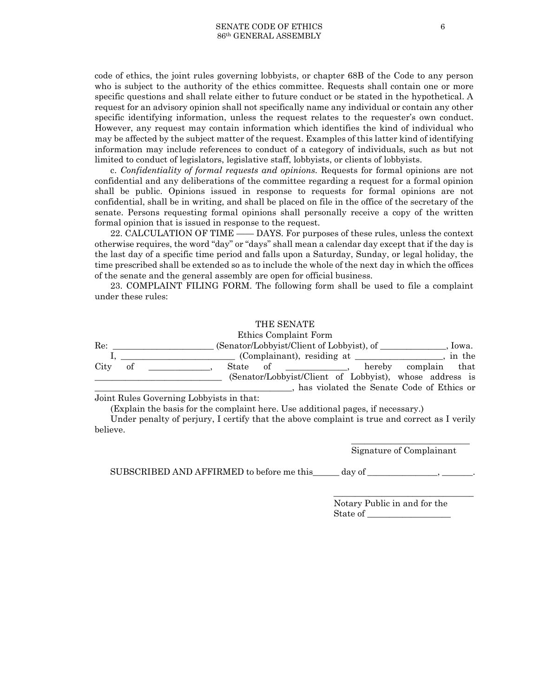code of ethics, the joint rules governing lobbyists, or chapter 68B of the Code to any person who is subject to the authority of the ethics committee. Requests shall contain one or more specific questions and shall relate either to future conduct or be stated in the hypothetical. A request for an advisory opinion shall not specifically name any individual or contain any other specific identifying information, unless the request relates to the requester's own conduct. However, any request may contain information which identifies the kind of individual who may be affected by the subject matter of the request. Examples of this latter kind of identifying information may include references to conduct of a category of individuals, such as but not limited to conduct of legislators, legislative staff, lobbyists, or clients of lobbyists.

c. *Confidentiality of formal requests and opinions.* Requests for formal opinions are not confidential and any deliberations of the committee regarding a request for a formal opinion shall be public. Opinions issued in response to requests for formal opinions are not confidential, shall be in writing, and shall be placed on file in the office of the secretary of the senate. Persons requesting formal opinions shall personally receive a copy of the written formal opinion that is issued in response to the request.

22. CALCULATION OF TIME —— DAYS. For purposes of these rules, unless the context otherwise requires, the word "day" or "days" shall mean a calendar day except that if the day is the last day of a specific time period and falls upon a Saturday, Sunday, or legal holiday, the time prescribed shall be extended so as to include the whole of the next day in which the offices of the senate and the general assembly are open for official business.

23. COMPLAINT FILING FORM. The following form shall be used to file a complaint under these rules:

#### THE SENATE

Ethics Complaint Form Re: \_\_\_\_\_\_\_\_\_\_\_\_\_\_\_\_\_\_\_\_\_ (Senator/Lobbyist/Client of Lobbyist), of \_\_\_\_\_\_\_\_\_\_\_\_\_, Iowa. I, \_\_\_\_\_\_\_\_\_\_\_\_\_\_\_, (Complainant), residing at \_\_\_\_\_\_\_\_\_\_, in the of \_\_\_\_\_\_\_\_\_\_, hereby complain that City of \_\_\_\_\_\_\_\_\_\_\_\_\_\_, State of \_\_\_\_\_\_\_\_\_\_\_\_\_\_, hereby complain that \_\_\_\_\_\_\_\_\_\_\_\_\_\_\_\_\_\_\_\_\_\_\_\_\_\_\_\_\_ (Senator/Lobbyist/Client of Lobbyist), whose address is \_\_\_\_\_\_\_\_\_\_\_\_\_\_\_\_\_\_\_\_\_\_\_\_\_\_\_\_\_\_\_\_\_\_\_\_\_\_\_\_\_\_\_\_\_, has violated the Senate Code of Ethics or

Joint Rules Governing Lobbyists in that:

(Explain the basis for the complaint here. Use additional pages, if necessary.)

Under penalty of perjury, I certify that the above complaint is true and correct as I verily believe.

> \_\_\_\_\_\_\_\_\_\_\_\_\_\_\_\_\_\_\_\_\_\_\_\_\_\_\_ Signature of Complainant

\_\_\_\_\_\_\_\_\_\_\_\_\_\_\_\_\_\_\_\_\_\_\_\_\_\_\_\_\_\_\_\_

SUBSCRIBED AND AFFIRMED to before me this \_\_\_\_\_ day of \_\_\_\_\_\_\_\_\_\_\_\_\_, \_\_\_\_\_\_\_\_\_\_

Notary Public in and for the State of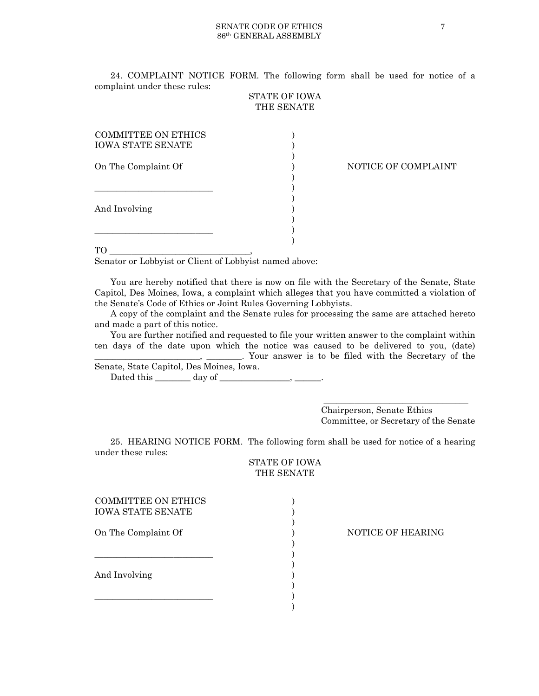24. COMPLAINT NOTICE FORM. The following form shall be used for notice of a complaint under these rules:

## STATE OF IOWA THE SENATE

)

 $)$ 

)

| COMMITTEE ON ETHICS<br><b>IOWA STATE SENATE</b> |  |
|-------------------------------------------------|--|
| On The Complaint Of                             |  |
| And Involving                                   |  |
|                                                 |  |

### NOTICE OF COMPLAINT

TO  $\blacksquare$ 

Senator or Lobbyist or Client of Lobbyist named above:

You are hereby notified that there is now on file with the Secretary of the Senate, State Capitol, Des Moines, Iowa, a complaint which alleges that you have committed a violation of the Senate's Code of Ethics or Joint Rules Governing Lobbyists.

A copy of the complaint and the Senate rules for processing the same are attached hereto and made a part of this notice.

You are further notified and requested to file your written answer to the complaint within ten days of the date upon which the notice was caused to be delivered to you, (date) \_\_\_\_\_\_\_\_\_\_\_\_\_\_\_\_\_\_\_\_\_\_\_\_, \_\_\_\_\_\_\_\_. Your answer is to be filed with the Secretary of the

Senate, State Capitol, Des Moines, Iowa. Dated this  $\_\_\_\_\_\_\_\$  day of  $\_\_\_\_\_\_\_\_\_\_\_\$ 

> \_\_\_\_\_\_\_\_\_\_\_\_\_\_\_\_\_\_\_\_\_\_\_\_\_\_\_\_\_\_\_\_\_ Chairperson, Senate Ethics Committee, or Secretary of the Senate

25. HEARING NOTICE FORM. The following form shall be used for notice of a hearing under these rules:

STATE OF IOWA THE SENATE

| COMMITTEE ON ETHICS |  |
|---------------------|--|
| IOWA STATE SENATE   |  |
|                     |  |
| On The Complaint Of |  |
|                     |  |
|                     |  |
| And Involving       |  |
|                     |  |
|                     |  |
|                     |  |

NOTICE OF HEARING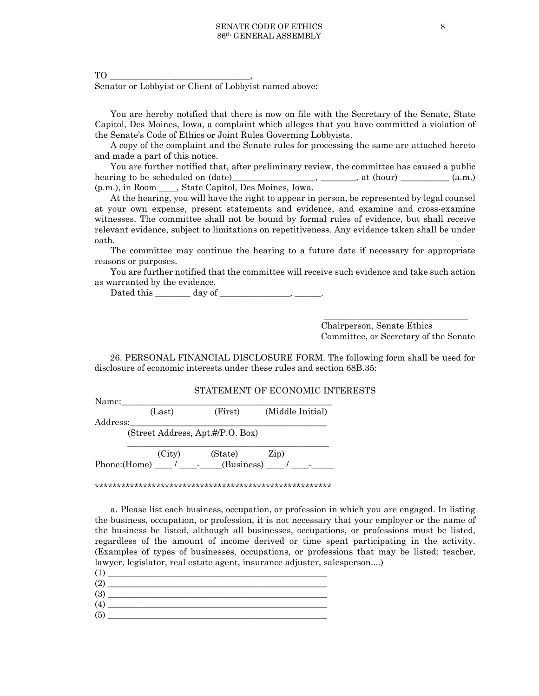$TO \underline{\hspace{2cm}}$ , Senator or Lobbyist or Client of Lobbyist named above:

You are hereby notified that there is now on file with the Secretary of the Senate, State Capitol, Des Moines, Iowa, a complaint which alleges that you have committed a violation of the Senate's Code of Ethics or Joint Rules Governing Lobbyists.

A copy of the complaint and the Senate rules for processing the same are attached hereto and made a part of this notice.

You are further notified that, after preliminary review, the committee has caused a public hearing to be scheduled on (date)\_\_\_\_\_\_\_\_\_\_\_\_\_\_\_\_, \_\_\_\_\_\_\_\_, at (hour) \_\_\_\_\_\_\_\_\_ (a.m.) (p.m.), in Room \_\_\_\_, State Capitol, Des Moines, Iowa.

At the hearing, you will have the right to appear in person, be represented by legal counsel at your own expense, present statements and evidence, and examine and cross-examine witnesses. The committee shall not be bound by formal rules of evidence, but shall receive relevant evidence, subject to limitations on repetitiveness. Any evidence taken shall be under oath.

The committee may continue the hearing to a future date if necessary for appropriate reasons or purposes.

You are further notified that the committee will receive such evidence and take such action as warranted by the evidence.

Dated this \_\_\_\_\_\_\_\_ day of \_\_\_\_\_\_\_\_\_\_\_\_\_\_\_\_, \_\_\_\_\_\_.

\_\_\_\_\_\_\_\_\_\_\_\_\_\_\_\_\_\_\_\_\_\_\_\_\_\_\_\_\_\_\_\_\_ Chairperson, Senate Ethics Committee, or Secretary of the Senate

26. PERSONAL FINANCIAL DISCLOSURE FORM. The following form shall be used for disclosure of economic interests under these rules and section 68B.35:

### STATEMENT OF ECONOMIC INTERESTS

Name:

(Last) (First) (Middle Initial)

Address:

(Street Address, Apt.#/P.O. Box)

\_\_\_\_\_\_\_\_\_\_\_\_\_\_\_\_\_\_\_\_\_\_\_\_\_\_\_\_\_\_\_\_\_\_\_\_\_\_\_\_\_\_\_\_\_\_ (City) (State) Zip) Phone:(Home) \_\_\_\_\_ / \_\_\_\_\_\_\_\_(Business) \_\_\_\_ / \_

\*\*\*\*\*\*\*\*\*\*\*\*\*\*\*\*\*\*\*\*\*\*\*\*\*\*\*\*\*\*\*\*\*\*\*\*\*\*\*\*\*\*\*\*\*\*\*\*\*\*\*\*\*\*

a. Please list each business, occupation, or profession in which you are engaged. In listing the business, occupation, or profession, it is not necessary that your employer or the name of the business be listed, although all businesses, occupations, or professions must be listed, regardless of the amount of income derived or time spent participating in the activity. (Examples of types of businesses, occupations, or professions that may be listed: teacher, lawyer, legislator, real estate agent, insurance adjuster, salesperson....)

| (1  |  |
|-----|--|
| (2) |  |
| (3) |  |
| (4) |  |
| (5) |  |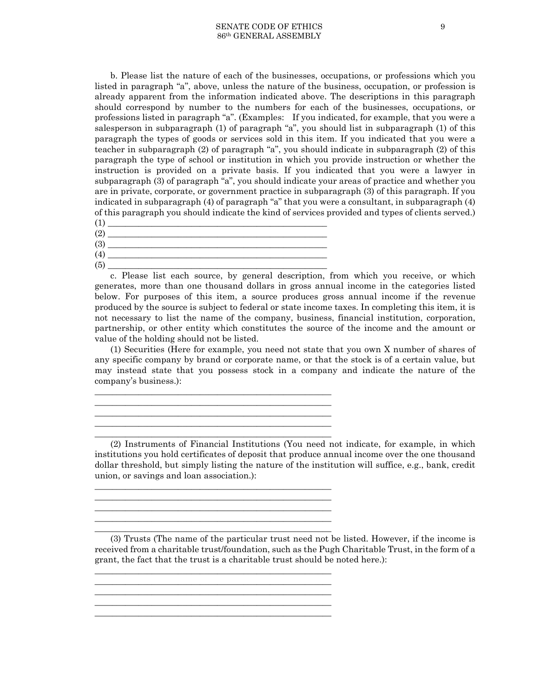b. Please list the nature of each of the businesses, occupations, or professions which you listed in paragraph "a", above, unless the nature of the business, occupation, or profession is already apparent from the information indicated above. The descriptions in this paragraph should correspond by number to the numbers for each of the businesses, occupations, or professions listed in paragraph "a". (Examples: If you indicated, for example, that you were a salesperson in subparagraph (1) of paragraph "a", you should list in subparagraph (1) of this paragraph the types of goods or services sold in this item. If you indicated that you were a teacher in subparagraph (2) of paragraph "a", you should indicate in subparagraph (2) of this paragraph the type of school or institution in which you provide instruction or whether the instruction is provided on a private basis. If you indicated that you were a lawyer in subparagraph (3) of paragraph "a", you should indicate your areas of practice and whether you are in private, corporate, or government practice in subparagraph (3) of this paragraph. If you indicated in subparagraph (4) of paragraph "a" that you were a consultant, in subparagraph (4) of this paragraph you should indicate the kind of services provided and types of clients served.)

(1) \_\_\_\_\_\_\_\_\_\_\_\_\_\_\_\_\_\_\_\_\_\_\_\_\_\_\_\_\_\_\_\_\_\_\_\_\_\_\_\_\_\_\_\_\_\_\_\_\_\_ (2) \_\_\_\_\_\_\_\_\_\_\_\_\_\_\_\_\_\_\_\_\_\_\_\_\_\_\_\_\_\_\_\_\_\_\_\_\_\_\_\_\_\_\_\_\_\_\_\_\_\_ (3) \_\_\_\_\_\_\_\_\_\_\_\_\_\_\_\_\_\_\_\_\_\_\_\_\_\_\_\_\_\_\_\_\_\_\_\_\_\_\_\_\_\_\_\_\_\_\_\_\_\_ (4) \_\_\_\_\_\_\_\_\_\_\_\_\_\_\_\_\_\_\_\_\_\_\_\_\_\_\_\_\_\_\_\_\_\_\_\_\_\_\_\_\_\_\_\_\_\_\_\_\_\_ (5) \_\_\_\_\_\_\_\_\_\_\_\_\_\_\_\_\_\_\_\_\_\_\_\_\_\_\_\_\_\_\_\_\_\_\_\_\_\_\_\_\_\_\_\_\_\_\_\_\_\_

\_\_\_\_\_\_\_\_\_\_\_\_\_\_\_\_\_\_\_\_\_\_\_\_\_\_\_\_\_\_\_\_\_\_\_\_\_\_\_\_\_\_\_\_\_\_\_\_\_\_\_\_\_\_ \_\_\_\_\_\_\_\_\_\_\_\_\_\_\_\_\_\_\_\_\_\_\_\_\_\_\_\_\_\_\_\_\_\_\_\_\_\_\_\_\_\_\_\_\_\_\_\_\_\_\_\_\_\_ \_\_\_\_\_\_\_\_\_\_\_\_\_\_\_\_\_\_\_\_\_\_\_\_\_\_\_\_\_\_\_\_\_\_\_\_\_\_\_\_\_\_\_\_\_\_\_\_\_\_\_\_\_\_ \_\_\_\_\_\_\_\_\_\_\_\_\_\_\_\_\_\_\_\_\_\_\_\_\_\_\_\_\_\_\_\_\_\_\_\_\_\_\_\_\_\_\_\_\_\_\_\_\_\_\_\_\_\_ \_\_\_\_\_\_\_\_\_\_\_\_\_\_\_\_\_\_\_\_\_\_\_\_\_\_\_\_\_\_\_\_\_\_\_\_\_\_\_\_\_\_\_\_\_\_\_\_\_\_\_\_\_\_

\_\_\_\_\_\_\_\_\_\_\_\_\_\_\_\_\_\_\_\_\_\_\_\_\_\_\_\_\_\_\_\_\_\_\_\_\_\_\_\_\_\_\_\_\_\_\_\_\_\_\_\_\_\_ \_\_\_\_\_\_\_\_\_\_\_\_\_\_\_\_\_\_\_\_\_\_\_\_\_\_\_\_\_\_\_\_\_\_\_\_\_\_\_\_\_\_\_\_\_\_\_\_\_\_\_\_\_\_ \_\_\_\_\_\_\_\_\_\_\_\_\_\_\_\_\_\_\_\_\_\_\_\_\_\_\_\_\_\_\_\_\_\_\_\_\_\_\_\_\_\_\_\_\_\_\_\_\_\_\_\_\_\_ \_\_\_\_\_\_\_\_\_\_\_\_\_\_\_\_\_\_\_\_\_\_\_\_\_\_\_\_\_\_\_\_\_\_\_\_\_\_\_\_\_\_\_\_\_\_\_\_\_\_\_\_\_\_ \_\_\_\_\_\_\_\_\_\_\_\_\_\_\_\_\_\_\_\_\_\_\_\_\_\_\_\_\_\_\_\_\_\_\_\_\_\_\_\_\_\_\_\_\_\_\_\_\_\_\_\_\_\_

\_\_\_\_\_\_\_\_\_\_\_\_\_\_\_\_\_\_\_\_\_\_\_\_\_\_\_\_\_\_\_\_\_\_\_\_\_\_\_\_\_\_\_\_\_\_\_\_\_\_\_\_\_\_ \_\_\_\_\_\_\_\_\_\_\_\_\_\_\_\_\_\_\_\_\_\_\_\_\_\_\_\_\_\_\_\_\_\_\_\_\_\_\_\_\_\_\_\_\_\_\_\_\_\_\_\_\_\_ \_\_\_\_\_\_\_\_\_\_\_\_\_\_\_\_\_\_\_\_\_\_\_\_\_\_\_\_\_\_\_\_\_\_\_\_\_\_\_\_\_\_\_\_\_\_\_\_\_\_\_\_\_\_

c. Please list each source, by general description, from which you receive, or which generates, more than one thousand dollars in gross annual income in the categories listed below. For purposes of this item, a source produces gross annual income if the revenue produced by the source is subject to federal or state income taxes. In completing this item, it is not necessary to list the name of the company, business, financial institution, corporation, partnership, or other entity which constitutes the source of the income and the amount or value of the holding should not be listed.

(1) Securities (Here for example, you need not state that you own X number of shares of any specific company by brand or corporate name, or that the stock is of a certain value, but may instead state that you possess stock in a company and indicate the nature of the company's business.):

(2) Instruments of Financial Institutions (You need not indicate, for example, in which institutions you hold certificates of deposit that produce annual income over the one thousand dollar threshold, but simply listing the nature of the institution will suffice, e.g., bank, credit union, or savings and loan association.):

(3) Trusts (The name of the particular trust need not be listed. However, if the income is received from a charitable trust/foundation, such as the Pugh Charitable Trust, in the form of a grant, the fact that the trust is a charitable trust should be noted here.):